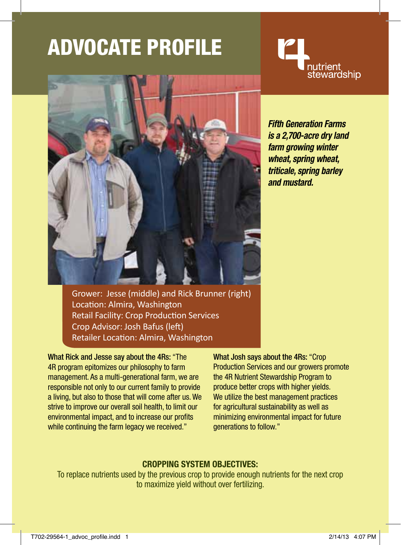# ADVocate Profile





*Fifth Generation Farms is a 2,700-acre dry land farm growing winter wheat, spring wheat, triticale, spring barley and mustard.*

Grower: Jesse (middle) and Rick Brunner (right) Location: Almira, Washington Retail Facility: Crop Production Services Crop Advisor: Josh Bafus (left) Retailer Location: Almira, Washington

What Rick and Jesse say about the 4Rs: "The 4R program epitomizes our philosophy to farm management. As a multi-generational farm, we are responsible not only to our current family to provide a living, but also to those that will come after us. We strive to improve our overall soil health, to limit our environmental impact, and to increase our profits while continuing the farm legacy we received."

What Josh says about the 4Rs: "Crop Production Services and our growers promote the 4R Nutrient Stewardship Program to produce better crops with higher yields. We utilize the best management practices for agricultural sustainability as well as minimizing environmental impact for future generations to follow."

### **Cropping System Objectives:**

To replace nutrients used by the previous crop to provide enough nutrients for the next crop to maximize yield without over fertilizing.